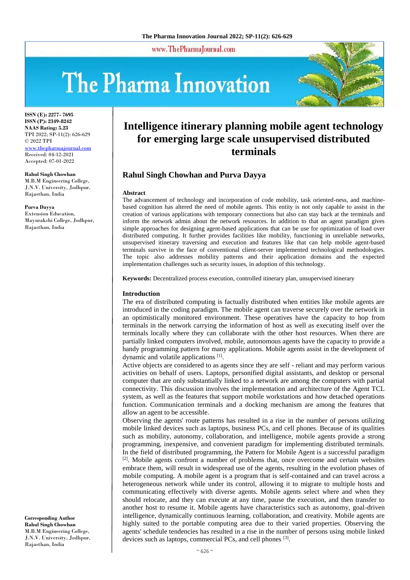www.ThePharmaJournal.com

# The Pharma Innovation



**ISSN (E): 2277- 7695 ISSN (P): 2349-8242 NAAS Rating: 5.23** TPI 2022; SP-11(2): 626-629 © 2022 TPI [www.thepharmajournal.com](file:///C:/Users/gupta/AppData/Roaming/Microsoft/Word/www.thepharmajournal.com) Received: 04-12-2021 Accepted: 07-01-2022

**Rahul Singh Chowhan** M.B.M Engineering College, J.N.V. University, Jodhpur, Rajasthan, India

**Purva Dayya** Extension Education, Mayurakshi College, Jodhpur, Rajasthan, India

**Corresponding Author Rahul Singh Chowhan** M.B.M Engineering College, J.N.V. University, Jodhpur, Rajasthan, India

# **Intelligence itinerary planning mobile agent technology for emerging large scale unsupervised distributed terminals**

### **Rahul Singh Chowhan and Purva Dayya**

#### **Abstract**

The advancement of technology and incorporation of code mobility, task oriented-ness, and machinebased cognition has altered the need of mobile agents. This entity is not only capable to assist in the creation of various applications with temporary connections but also can stay back at the terminals and inform the network admin about the network resources. In addition to that an agent paradigm gives simple approaches for designing agent-based applications that can be use for optimization of load over distributed computing. It further provides facilities like mobility, functioning in unreliable networks, unsupervised itinerary traversing and execution and features like that can help mobile agent-based terminals survive in the face of conventional client-server implemented technological methodologies. The topic also addresses mobility patterns and their application domains and the expected implementation challenges such as security issues, in adoption of this technology.

**Keywords:** Decentralized process execution, controlled itinerary plan, unsupervised itinerary

#### **Introduction**

The era of distributed computing is factually distributed when entities like mobile agents are introduced in the coding paradigm. The mobile agent can traverse securely over the network in an optimistically monitored environment. These operatives have the capacity to hop from terminals in the network carrying the information of host as well as executing itself over the terminals locally where they can collaborate with the other host resources. When there are partially linked computers involved, mobile, autonomous agents have the capacity to provide a handy programming pattern for many applications. Mobile agents assist in the development of dynamic and volatile applications [1].

Active objects are considered to as agents since they are self - reliant and may perform various activities on behalf of users. Laptops, personified digital assistants, and desktop or personal computer that are only substantially linked to a network are among the computers with partial connectivity. This discussion involves the implementation and architecture of the Agent TCL system, as well as the features that support mobile workstations and how detached operations function. Communication terminals and a docking mechanism are among the features that allow an agent to be accessible.

Observing the agents' route patterns has resulted in a rise in the number of persons utilizing mobile linked devices such as laptops, business PCs, and cell phones. Because of its qualities such as mobility, autonomy, collaboration, and intelligence, mobile agents provide a strong programming, inexpensive, and convenient paradigm for implementing distributed terminals. In the field of distributed programming, the Pattern for Mobile Agent is a successful paradigm  $[2]$ . Mobile agents confront a number of problems that, once overcome and certain websites embrace them, will result in widespread use of the agents, resulting in the evolution phases of mobile computing. A mobile agent is a program that is self-contained and can travel across a heterogeneous network while under its control, allowing it to migrate to multiple hosts and communicating effectively with diverse agents. Mobile agents select where and when they should relocate, and they can execute at any time, pause the execution, and then transfer to another host to resume it. Mobile agents have characteristics such as autonomy, goal-driven intelligence, dynamically continuous learning, collaboration, and creativity. Mobile agents are highly suited to the portable computing area due to their varied properties. Observing the agents' schedule tendencies has resulted in a rise in the number of persons using mobile linked devices such as laptops, commercial PCs, and cell phones <sup>[3]</sup>.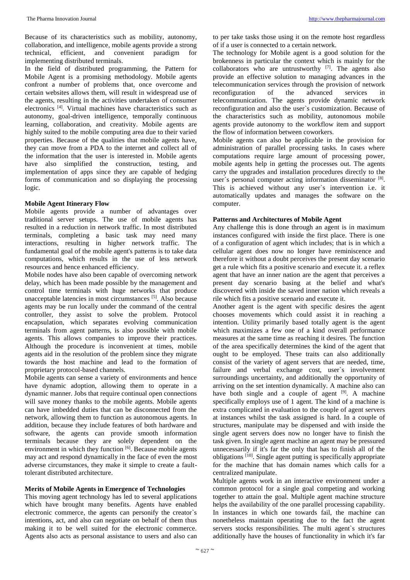In the field of distributed programming, the Pattern for Mobile Agent is a promising methodology. Mobile agents confront a number of problems that, once overcome and certain websites allows them, will result in widespread use of the agents, resulting in the activities undertaken of consumer electronics [4]. Virtual machines have characteristics such as autonomy, goal-driven intelligence, temporally continuous learning, collaboration, and creativity. Mobile agents are highly suited to the mobile computing area due to their varied properties. Because of the qualities that mobile agents have, they can move from a PDA to the internet and collect all of the information that the user is interested in. Mobile agents have also simplified the construction, testing, and implementation of apps since they are capable of hedging forms of communication and so displaying the processing logic.

#### **Mobile Agent Itinerary Flow**

Mobile agents provide a number of advantages over traditional server setups. The use of mobile agents has resulted in a reduction in network traffic. In most distributed terminals, completing a basic task may need many interactions, resulting in higher network traffic. The fundamental goal of the mobile agent's patterns is to take data computations, which results in the use of less network resources and hence enhanced efficiency.

Mobile nodes have also been capable of overcoming network delay, which has been made possible by the management and control time terminals with huge networks that produce unacceptable latencies in most circumstances [5]. Also because agents may be run locally under the command of the central controller, they assist to solve the problem. Protocol encapsulation, which separates evolving communication terminals from agent patterns, is also possible with mobile agents. This allows companies to improve their practices. Although the procedure is inconvenient at times, mobile agents aid in the resolution of the problem since they migrate towards the host machine and lead to the formation of proprietary protocol-based channels.

Mobile agents can sense a variety of environments and hence have dynamic adoption, allowing them to operate in a dynamic manner. Jobs that require continual open connections will save money thanks to the mobile agents. Mobile agents can have imbedded duties that can be disconnected from the network, allowing them to function as autonomous agents. In addition, because they include features of both hardware and software, the agents can provide smooth information terminals because they are solely dependent on the environment in which they function [6]. Because mobile agents may act and respond dynamically in the face of even the most adverse circumstances, they make it simple to create a faulttolerant distributed architecture.

#### **Merits of Mobile Agents in Emergence of Technologies**

This moving agent technology has led to several applications which have brought many benefits. Agents have enabled electronic commerce, the agents can personify the creator`s intentions, act, and also can negotiate on behalf of them thus making it to be well suited for the electronic commerce. Agents also acts as personal assistance to users and also can

to per take tasks those using it on the remote host regardless of if a user is connected to a certain network.

The technology for Mobile agent is a good solution for the brokenness in particular the context which is mainly for the collaborators who are untrustworthy  $[7]$ . The agents also provide an effective solution to managing advances in the telecommunication services through the provision of network reconfiguration of the advanced services in telecommunication. The agents provide dynamic network reconfiguration and also the user`s customization. Because of the characteristics such as mobility, autonomous mobile agents provide autonomy to the workflow item and support the flow of information between coworkers.

Mobile agents can also be applicable in the provision for administration of parallel processing tasks. In cases where computations require large amount of processing power, mobile agents help in getting the processes out. The agents carry the upgrades and installation procedures directly to the user's personal computer acting information disseminator [8]. This is achieved without any user`s intervention i.e. it automatically updates and manages the software on the computer.

#### **Patterns and Architectures of Mobile Agent**

Any challenge this is done through an agent is in maximum instances configured with inside the first place. There is one of a configuration of agent which includes; that is in which a cellular agent does now no longer have reminiscence and therefore it without a doubt perceives the present day scenario get a rule which fits a positive scenario and execute it. a reflex agent that have an inner nation are the agent that perceives a present day scenario basing at the belief and what's discovered with inside the saved inner nation which reveals a rile which fits a positive scenario and execute it.

Another agent is the agent with specific desires the agent chooses movements which could assist it in reaching a intention. Utility primarily based totally agent is the agent which maximizes a few one of a kind overall performance measures at the same time as reaching it desires. The function of the area specifically determines the kind of the agent that ought to be employed. These traits can also additionally consist of the variety of agent servers that are needed, time, failure and verbal exchange cost, user`s involvement surroundings uncertainty, and additionally the opportunity of arriving on the set intention dynamically. A machine also can have both single and a couple of agent <sup>[9]</sup>. A machine specifically employs use of 1 agent. The kind of a machine is extra complicated in evaluation to the couple of agent servers at instances whilst the task assigned is hard. In a couple of structures, manipulate may be dispensed and with inside the single agent servers does now no longer have to finish the task given. In single agent machine an agent may be pressured unnecessarily if it's far the only that has to finish all of the obligations <sup>[10]</sup>. Single agent putting is specifically appropriate for the machine that has domain names which calls for a centralized manipulate.

Multiple agents work in an interactive environment under a common protocol for a single goal competing and working together to attain the goal. Multiple agent machine structure helps the availability of the one parallel processing capability. In instances in which one towards fail, the machine can nonetheless maintain operating due to the fact the agent servers stocks responsibilities. The multi agent`s structures additionally have the houses of functionality in which it's far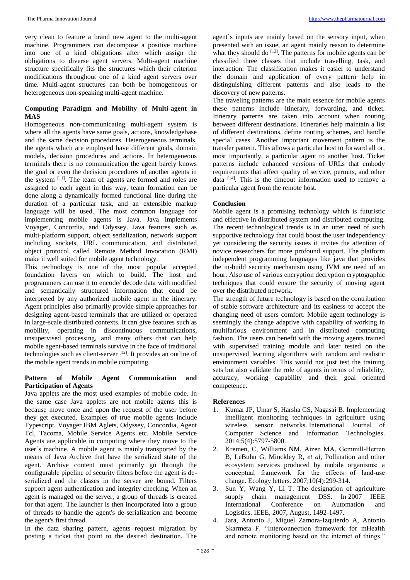very clean to feature a brand new agent to the multi-agent machine. Programmers can decompose a positive machine into one of a kind obligations after which assign the obligations to diverse agent servers. Multi-agent machine structure specifically fits the structures which their criterion modifications throughout one of a kind agent servers over time. Multi-agent structures can both be homogeneous or heterogeneous non-speaking multi-agent machine.

#### **Computing Paradigm and Mobility of Multi-agent in MAS**

Homogeneous non-communicating multi-agent system is where all the agents have same goals, actions, knowledgebase and the same decision procedures. Heterogeneous terminals, the agents which are employed have different goals, domain models, decision procedures and actions. In heterogeneous terminals there is no communication the agent barely knows the goal or even the decision procedures of another agents in the system [11]. The team of agents are formed and roles are assigned to each agent in this way, team formation can be done along a dynamically formed functional line during the duration of a particular task, and an extensible markup language will be used. The most common language for implementing mobile agents is Java. Java implements Voyager, Concordia, and Odyssey. Java features such as multi-platform support, object serialization, network support including sockets, URL communication, and distributed object protocol called Remote Method Invocation (RMI) make it well suited for mobile agent technology.

This technology is one of the most popular accepted foundation layers on which to build. The host and programmers can use it to encode/ decode data with modified and semantically structured information that could be interpreted by any authorized mobile agent in the itinerary. Agent principles also primarily provide simple approaches for designing agent-based terminals that are utilized or operated in large-scale distributed contexts. It can give features such as mobility, operating in discontinuous communications, unsupervised processing, and many others that can help mobile agent-based terminals survive in the face of traditional technologies such as client-server [12]. It provides an outline of the mobile agent trends in mobile computing.

#### **Pattern of Mobile Agent Communication and Participation of Agents**

Java applets are the most used examples of mobile code. In the same case Java applets are not mobile agents this is because move once and upon the request of the user before they get executed. Examples of true mobile agents include Typescript, Voyager IBM Aglets, Odyssey, Concordia, Agent Tcl, Tacoma, Mobile Service Agents etc. Mobile Service Agents are applicable in computing where they move to the user`s machine. A mobile agent is mainly transported by the means of Java Archive that have the serialized state of the agent. Archive content must primarily go through the configurable pipeline of security filters before the agent is deserialized and the classes in the server are bound. Filters support agent authentication and integrity checking. When an agent is managed on the server, a group of threads is created for that agent. The launcher is then incorporated into a group of threads to handle the agent's de-serialization and become the agent's first thread.

In the data sharing pattern, agents request migration by posting a ticket that point to the desired destination. The

agent`s inputs are mainly based on the sensory input, when presented with an issue, an agent mainly reason to determine what they should do  $^{[13]}$ . The patterns for mobile agents can be classified three classes that include travelling, task, and interaction. The classification makes it easier to understand the domain and application of every pattern help in distinguishing different patterns and also leads to the discovery of new patterns.

The traveling patterns are the main essence for mobile agents these patterns include itinerary, forwarding, and ticket. Itinerary patterns are taken into account when routing between different destinations. Itineraries help maintain a list of different destinations, define routing schemes, and handle special cases. Another important movement pattern is the transfer pattern. This allows a particular host to forward all or, most importantly, a particular agent to another host. Ticket patterns include enhanced versions of URLs that embody requirements that affect quality of service, permits, and other data  $[14]$ . This is the timeout information used to remove a particular agent from the remote host.

#### **Conclusion**

Mobile agent is a promising technology which is futuristic and effective in distributed system and distributed computing. The recent technological trends is in an utter need of such supportive technology that could boost the user independency yet considering the security issues it invites the attention of novice researchers for more profound support. The platform independent programming languages like java that provides the in-build security mechanism using JVM are need of an hour. Also use of various encryption decryption cryptographic techniques that could ensure the security of moving agent over the distributed network.

The strength of future technology is based on the contribution of stable software architecture and its easiness to accept the changing need of users comfort. Mobile agent technology is seemingly the change adaptive with capability of working in multifarious environment and in distributed computing fashion. The users can benefit with the moving agents trained with supervised training module and later tested on the unsupervised learning algorithms with random and realistic environment variables. This would not just test the training sets but also validate the role of agents in terms of reliability, accuracy, working capability and their goal oriented competence.

## **References**

- 1. Kumar JP, Umar S, Harsha CS, Nagasai B. Implementing intelligent monitoring techniques in agriculture using wireless sensor networks. International Journal of Computer Science and Information Technologies. 2014;5(4):5797-5800.
- 2. Kremen, C, Williams NM, Aizen MA, Gemmill‐Herren B, LeBuhn G, Minckley R, *et al*, Pollination and other ecosystem services produced by mobile organisms: a conceptual framework for the effects of land‐use change. Ecology letters. 2007;10(4):299-314.
- 3. Sun Y, Wang Y, Li T. The designation of agriculture supply chain management DSS. In 2007 IEEE International Conference on Automation and Logistics. IEEE, 2007, August, 1492-1497.
- 4. Jara, Antonio J, Miguel Zamora-Izquierdo A, Antonio Skarmeta F. "Interconnection framework for mHealth and remote monitoring based on the internet of things."